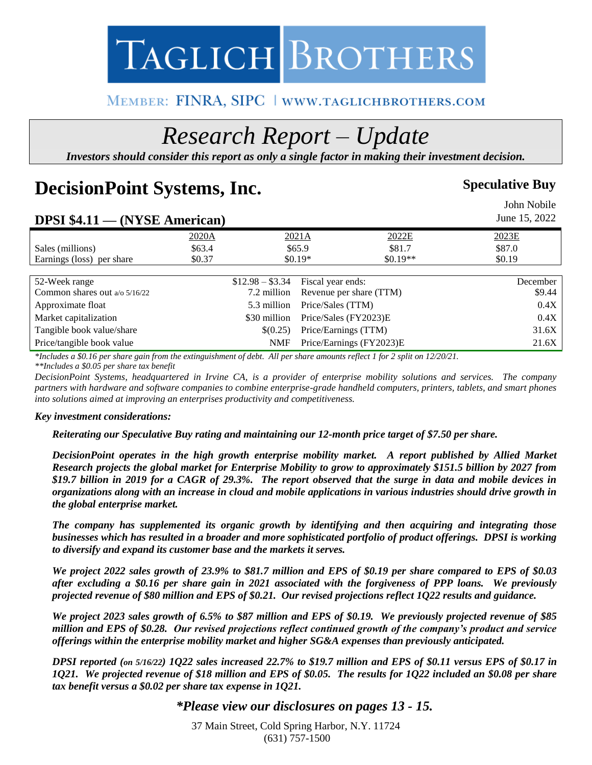# TAGLICH BROTHERS

### MEMBER: FINRA, SIPC | WWW.TAGLICHBROTHERS.COM

## *Research Report – Update*

*Investors should consider this report as only a single factor in making their investment decision.*

### **DecisionPoint Systems, Inc.** Speculative Buy

|                                      |        |                  |                       |                          | John Nobile   |
|--------------------------------------|--------|------------------|-----------------------|--------------------------|---------------|
| <b>DPSI \$4.11 — (NYSE American)</b> |        |                  |                       |                          | June 15, 2022 |
|                                      | 2020A  | 2021A            |                       | 2022E                    | 2023E         |
| Sales (millions)                     | \$63.4 |                  | \$65.9\$              | \$81.7                   | \$87.0        |
| Earnings (loss) per share            | \$0.37 |                  | $$0.19*$              | $$0.19**$$               | \$0.19        |
|                                      |        |                  |                       |                          |               |
| 52-Week range                        |        | $$12.98 - $3.34$ | Fiscal year ends:     |                          | December      |
| Common shares out a/o 5/16/22        |        | 7.2 million      |                       | Revenue per share (TTM)  | \$9.44        |
| Approximate float                    |        | 5.3 million      | Price/Sales (TTM)     |                          | 0.4X          |
| Market capitalization                |        | \$30 million     | Price/Sales (FY2023)E |                          | 0.4X          |
| Tangible book value/share            |        | \$(0.25)         | Price/Earnings (TTM)  |                          | 31.6X         |
| Price/tangible book value            |        | <b>NMF</b>       |                       | Price/Earnings (FY2023)E | 21.6X         |

*\*Includes a \$0.16 per share gain from the extinguishment of debt. All per share amounts reflect 1 for 2 split on 12/20/21. \*\*Includes a \$0.05 per share tax benefit*

*DecisionPoint Systems, headquartered in Irvine CA, is a provider of enterprise mobility solutions and services. The company partners with hardware and software companies to combine enterprise-grade handheld computers, printers, tablets, and smart phones into solutions aimed at improving an enterprises productivity and competitiveness.* 

#### *Key investment considerations:*

*Reiterating our Speculative Buy rating and maintaining our 12-month price target of \$7.50 per share.* 

*DecisionPoint operates in the high growth enterprise mobility market. A report published by Allied Market Research projects the global market for Enterprise Mobility to grow to approximately \$151.5 billion by 2027 from \$19.7 billion in 2019 for a CAGR of 29.3%. The report observed that the surge in data and mobile devices in organizations along with an increase in cloud and mobile applications in various industries should drive growth in the global enterprise market.* 

*The company has supplemented its organic growth by identifying and then acquiring and integrating those businesses which has resulted in a broader and more sophisticated portfolio of product offerings. DPSI is working to diversify and expand its customer base and the markets it serves.* 

*We project 2022 sales growth of 23.9% to \$81.7 million and EPS of \$0.19 per share compared to EPS of \$0.03 after excluding a \$0.16 per share gain in 2021 associated with the forgiveness of PPP loans. We previously projected revenue of \$80 million and EPS of \$0.21. Our revised projections reflect 1Q22 results and guidance.*

*We project 2023 sales growth of 6.5% to \$87 million and EPS of \$0.19. We previously projected revenue of \$85 million and EPS of \$0.28. Our revised projections reflect continued growth of the company's product and service offerings within the enterprise mobility market and higher SG&A expenses than previously anticipated.*

*DPSI reported (on 5/16/22) 1Q22 sales increased 22.7% to \$19.7 million and EPS of \$0.11 versus EPS of \$0.17 in 1Q21. We projected revenue of \$18 million and EPS of \$0.05. The results for 1Q22 included an \$0.08 per share tax benefit versus a \$0.02 per share tax expense in 1Q21.* 

#### *\*Please view our disclosures on pages 13 - 15.*

37 Main Street, Cold Spring Harbor, N.Y. 11724 (631) 757-1500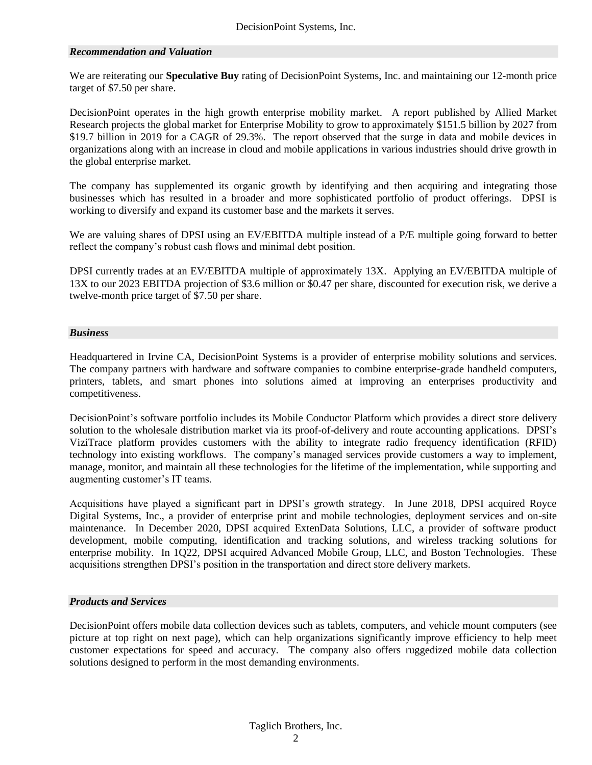#### *Recommendation and Valuation*

We are reiterating our **Speculative Buy** rating of DecisionPoint Systems, Inc. and maintaining our 12-month price target of \$7.50 per share.

DecisionPoint operates in the high growth enterprise mobility market. A report published by Allied Market Research projects the global market for Enterprise Mobility to grow to approximately \$151.5 billion by 2027 from \$19.7 billion in 2019 for a CAGR of 29.3%. The report observed that the surge in data and mobile devices in organizations along with an increase in cloud and mobile applications in various industries should drive growth in the global enterprise market.

The company has supplemented its organic growth by identifying and then acquiring and integrating those businesses which has resulted in a broader and more sophisticated portfolio of product offerings. DPSI is working to diversify and expand its customer base and the markets it serves.

We are valuing shares of DPSI using an EV/EBITDA multiple instead of a P/E multiple going forward to better reflect the company's robust cash flows and minimal debt position.

DPSI currently trades at an EV/EBITDA multiple of approximately 13X. Applying an EV/EBITDA multiple of 13X to our 2023 EBITDA projection of \$3.6 million or \$0.47 per share, discounted for execution risk, we derive a twelve-month price target of \$7.50 per share.

#### *Business*

Headquartered in Irvine CA, DecisionPoint Systems is a provider of enterprise mobility solutions and services. The company partners with hardware and software companies to combine enterprise-grade handheld computers, printers, tablets, and smart phones into solutions aimed at improving an enterprises productivity and competitiveness.

DecisionPoint's software portfolio includes its Mobile Conductor Platform which provides a direct store delivery solution to the wholesale distribution market via its proof-of-delivery and route accounting applications. DPSI's ViziTrace platform provides customers with the ability to integrate radio frequency identification (RFID) technology into existing workflows. The company's managed services provide customers a way to implement, manage, monitor, and maintain all these technologies for the lifetime of the implementation, while supporting and augmenting customer's IT teams.

Acquisitions have played a significant part in DPSI's growth strategy. In June 2018, DPSI acquired Royce Digital Systems, Inc., a provider of enterprise print and mobile technologies, deployment services and on-site maintenance. In December 2020, DPSI acquired ExtenData Solutions, LLC, a provider of software product development, mobile computing, identification and tracking solutions, and wireless tracking solutions for enterprise mobility. In 1Q22, DPSI acquired Advanced Mobile Group, LLC, and Boston Technologies. These acquisitions strengthen DPSI's position in the transportation and direct store delivery markets.

#### *Products and Services*

DecisionPoint offers mobile data collection devices such as tablets, computers, and vehicle mount computers (see picture at top right on next page), which can help organizations significantly improve efficiency to help meet customer expectations for speed and accuracy. The company also offers ruggedized mobile data collection solutions designed to perform in the most demanding environments.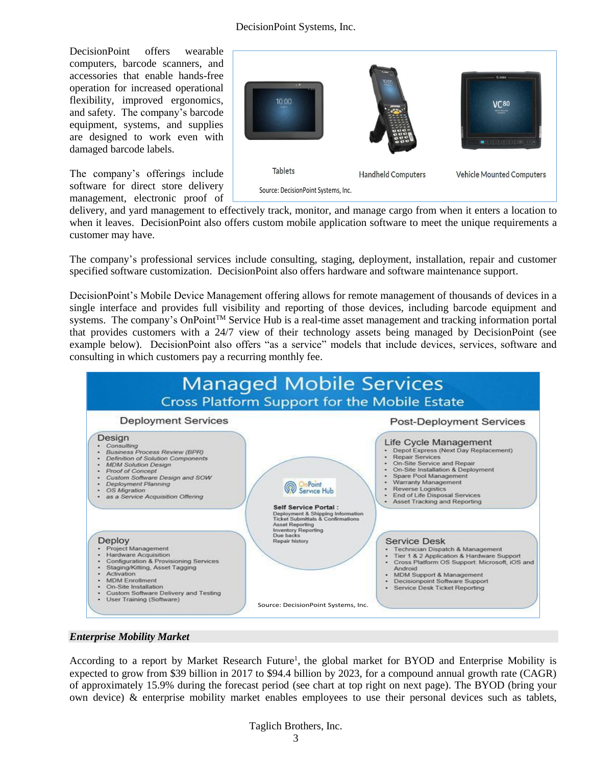DecisionPoint offers wearable computers, barcode scanners, and accessories that enable hands-free operation for increased operational flexibility, improved ergonomics, and safety. The company's barcode equipment, systems, and supplies are designed to work even with damaged barcode labels.

The company's offerings include software for direct store delivery management, electronic proof of



delivery, and yard management to effectively track, monitor, and manage cargo from when it enters a location to when it leaves. DecisionPoint also offers custom mobile application software to meet the unique requirements a customer may have.

The company's professional services include consulting, staging, deployment, installation, repair and customer specified software customization. DecisionPoint also offers hardware and software maintenance support.

DecisionPoint's Mobile Device Management offering allows for remote management of thousands of devices in a single interface and provides full visibility and reporting of those devices, including barcode equipment and systems. The company's OnPoint<sup>TM</sup> Service Hub is a real-time asset management and tracking information portal that provides customers with a 24/7 view of their technology assets being managed by DecisionPoint (see example below). DecisionPoint also offers "as a service" models that include devices, services, software and consulting in which customers pay a recurring monthly fee.



#### *Enterprise Mobility Market*

According to a report by Market Research Future<sup>1</sup>, the global market for BYOD and Enterprise Mobility is expected to grow from \$39 billion in 2017 to \$94.4 billion by 2023, for a compound annual growth rate (CAGR) of approximately 15.9% during the forecast period (see chart at top right on next page). The BYOD (bring your own device) & enterprise mobility market enables employees to use their personal devices such as tablets,

#### Taglich Brothers, Inc.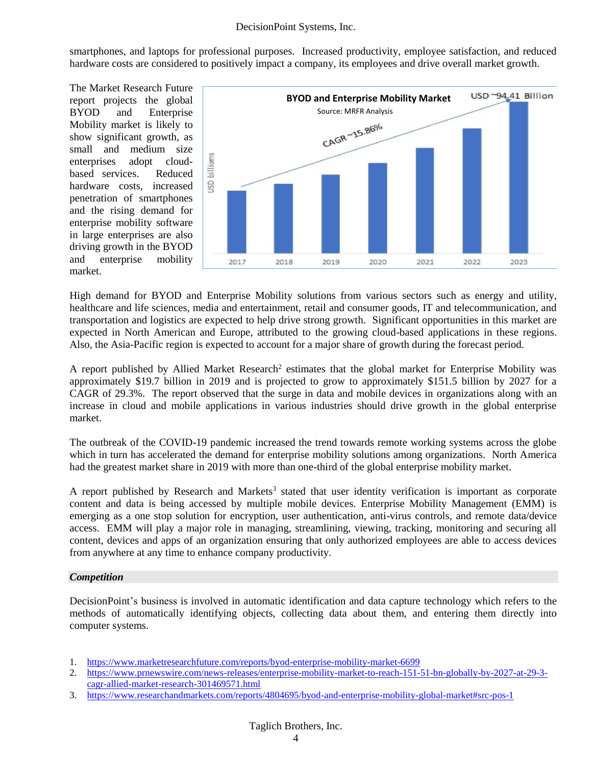smartphones, and laptops for professional purposes. Increased productivity, employee satisfaction, and reduced hardware costs are considered to positively impact a company, its employees and drive overall market growth.

The Market Research Future report projects the global BYOD and Enterprise Mobility market is likely to show significant growth, as small and medium size enterprises adopt cloudbased services. Reduced hardware costs, increased penetration of smartphones and the rising demand for enterprise mobility software in large enterprises are also driving growth in the BYOD and enterprise mobility market.



High demand for BYOD and Enterprise Mobility solutions from various sectors such as energy and utility, healthcare and life sciences, media and entertainment, retail and consumer goods, IT and telecommunication, and transportation and logistics are expected to help drive strong growth. Significant opportunities in this market are expected in North American and Europe, attributed to the growing cloud-based applications in these regions. Also, the Asia-Pacific region is expected to account for a major share of growth during the forecast period.

A report published by Allied Market Research<sup>2</sup> estimates that the global market for Enterprise Mobility was approximately \$19.7 billion in 2019 and is projected to grow to approximately \$151.5 billion by 2027 for a CAGR of 29.3%. The report observed that the surge in data and mobile devices in organizations along with an increase in cloud and mobile applications in various industries should drive growth in the global enterprise market.

The outbreak of the COVID-19 pandemic increased the trend towards remote working systems across the globe which in turn has accelerated the demand for enterprise mobility solutions among organizations. North America had the greatest market share in 2019 with more than one-third of the global enterprise mobility market.

A report published by Research and Markets<sup>3</sup> stated that user identity verification is important as corporate content and data is being accessed by multiple mobile devices. Enterprise Mobility Management (EMM) is emerging as a one stop solution for encryption, user authentication, anti-virus controls, and remote data/device access. EMM will play a major role in managing, streamlining, viewing, tracking, monitoring and securing all content, devices and apps of an organization ensuring that only authorized employees are able to access devices from anywhere at any time to enhance company productivity.

#### *Competition*

DecisionPoint's business is involved in automatic identification and data capture technology which refers to the methods of automatically identifying objects, collecting data about them, and entering them directly into computer systems.

- 1. <https://www.marketresearchfuture.com/reports/byod-enterprise-mobility-market-6699>
- 2. [https://www.prnewswire.com/news-releases/enterprise-mobility-market-to-reach-151-51-bn-globally-by-2027-at-29-3](https://www.prnewswire.com/news-releases/enterprise-mobility-market-to-reach-151-51-bn-globally-by-2027-at-29-3-cagr-allied-market-research-301469571.html) [cagr-allied-market-research-301469571.html](https://www.prnewswire.com/news-releases/enterprise-mobility-market-to-reach-151-51-bn-globally-by-2027-at-29-3-cagr-allied-market-research-301469571.html)
- 3. <https://www.researchandmarkets.com/reports/4804695/byod-and-enterprise-mobility-global-market#src-pos-1>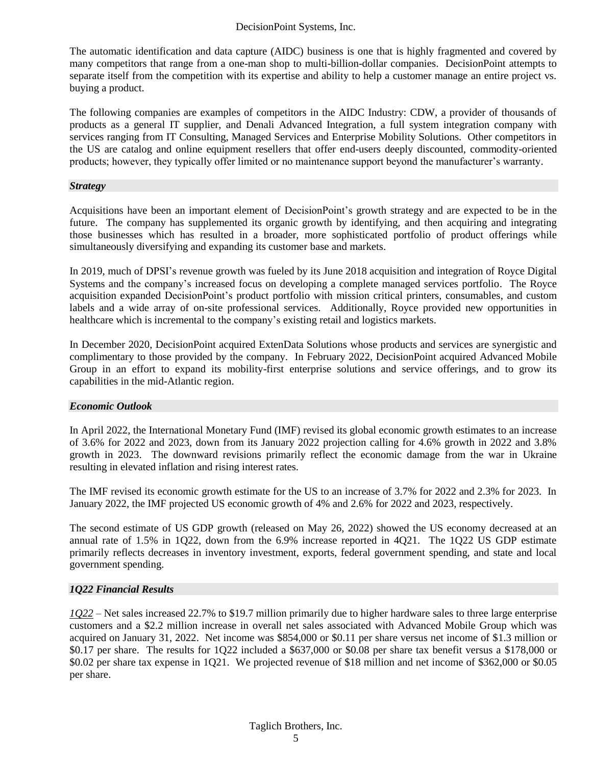The automatic identification and data capture (AIDC) business is one that is highly fragmented and covered by many competitors that range from a one-man shop to multi-billion-dollar companies. DecisionPoint attempts to separate itself from the competition with its expertise and ability to help a customer manage an entire project vs. buying a product.

The following companies are examples of competitors in the AIDC Industry: CDW, a provider of thousands of products as a general IT supplier, and Denali Advanced Integration, a full system integration company with services ranging from IT Consulting, Managed Services and Enterprise Mobility Solutions. Other competitors in the US are catalog and online equipment resellers that offer end-users deeply discounted, commodity-oriented products; however, they typically offer limited or no maintenance support beyond the manufacturer's warranty.

#### *Strategy*

Acquisitions have been an important element of DecisionPoint's growth strategy and are expected to be in the future. The company has supplemented its organic growth by identifying, and then acquiring and integrating those businesses which has resulted in a broader, more sophisticated portfolio of product offerings while simultaneously diversifying and expanding its customer base and markets.

In 2019, much of DPSI's revenue growth was fueled by its June 2018 acquisition and integration of Royce Digital Systems and the company's increased focus on developing a complete managed services portfolio. The Royce acquisition expanded DecisionPoint's product portfolio with mission critical printers, consumables, and custom labels and a wide array of on-site professional services. Additionally, Royce provided new opportunities in healthcare which is incremental to the company's existing retail and logistics markets.

In December 2020, DecisionPoint acquired ExtenData Solutions whose products and services are synergistic and complimentary to those provided by the company. In February 2022, DecisionPoint acquired Advanced Mobile Group in an effort to expand its mobility-first enterprise solutions and service offerings, and to grow its capabilities in the mid-Atlantic region.

#### *Economic Outlook*

In April 2022, the International Monetary Fund (IMF) revised its global economic growth estimates to an increase of 3.6% for 2022 and 2023, down from its January 2022 projection calling for 4.6% growth in 2022 and 3.8% growth in 2023. The downward revisions primarily reflect the economic damage from the war in Ukraine resulting in elevated inflation and rising interest rates.

The IMF revised its economic growth estimate for the US to an increase of 3.7% for 2022 and 2.3% for 2023. In January 2022, the IMF projected US economic growth of 4% and 2.6% for 2022 and 2023, respectively.

The second estimate of US GDP growth (released on May 26, 2022) showed the US economy decreased at an annual rate of 1.5% in 1Q22, down from the 6.9% increase reported in 4Q21. The 1Q22 US GDP estimate primarily reflects decreases in inventory investment, exports, federal government spending, and state and local government spending.

#### *1Q22 Financial Results*

*1Q22* – Net sales increased 22.7% to \$19.7 million primarily due to higher hardware sales to three large enterprise customers and a \$2.2 million increase in overall net sales associated with Advanced Mobile Group which was acquired on January 31, 2022. Net income was \$854,000 or \$0.11 per share versus net income of \$1.3 million or \$0.17 per share. The results for 1Q22 included a \$637,000 or \$0.08 per share tax benefit versus a \$178,000 or \$0.02 per share tax expense in 1Q21. We projected revenue of \$18 million and net income of \$362,000 or \$0.05 per share.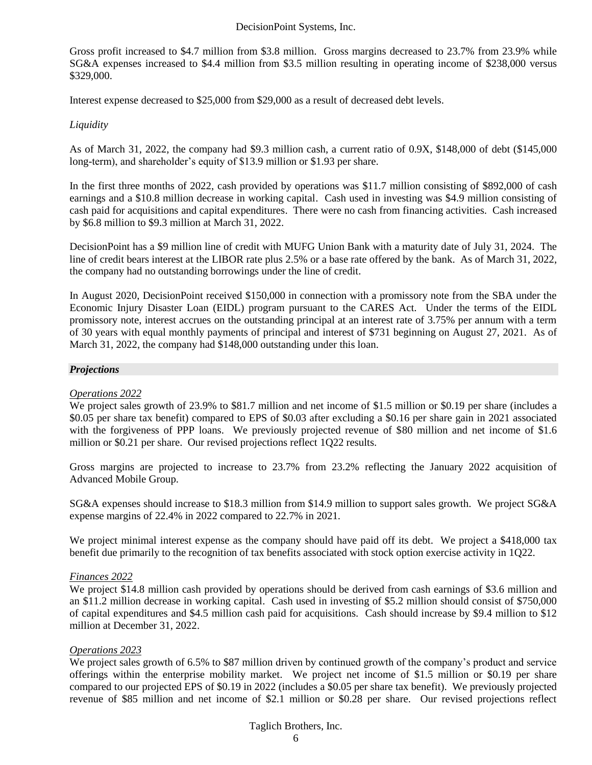Gross profit increased to \$4.7 million from \$3.8 million. Gross margins decreased to 23.7% from 23.9% while SG&A expenses increased to \$4.4 million from \$3.5 million resulting in operating income of \$238,000 versus \$329,000.

Interest expense decreased to \$25,000 from \$29,000 as a result of decreased debt levels.

#### *Liquidity*

As of March 31, 2022, the company had \$9.3 million cash, a current ratio of 0.9X, \$148,000 of debt (\$145,000 long-term), and shareholder's equity of \$13.9 million or \$1.93 per share.

In the first three months of 2022, cash provided by operations was \$11.7 million consisting of \$892,000 of cash earnings and a \$10.8 million decrease in working capital. Cash used in investing was \$4.9 million consisting of cash paid for acquisitions and capital expenditures. There were no cash from financing activities. Cash increased by \$6.8 million to \$9.3 million at March 31, 2022.

DecisionPoint has a \$9 million line of credit with MUFG Union Bank with a maturity date of July 31, 2024. The line of credit bears interest at the LIBOR rate plus 2.5% or a base rate offered by the bank. As of March 31, 2022, the company had no outstanding borrowings under the line of credit.

In August 2020, DecisionPoint received \$150,000 in connection with a promissory note from the SBA under the Economic Injury Disaster Loan (EIDL) program pursuant to the CARES Act. Under the terms of the EIDL promissory note, interest accrues on the outstanding principal at an interest rate of 3.75% per annum with a term of 30 years with equal monthly payments of principal and interest of \$731 beginning on August 27, 2021. As of March 31, 2022, the company had \$148,000 outstanding under this loan.

#### *Projections*

#### *Operations 2022*

We project sales growth of 23.9% to \$81.7 million and net income of \$1.5 million or \$0.19 per share (includes a \$0.05 per share tax benefit) compared to EPS of \$0.03 after excluding a \$0.16 per share gain in 2021 associated with the forgiveness of PPP loans. We previously projected revenue of \$80 million and net income of \$1.6 million or \$0.21 per share. Our revised projections reflect 1Q22 results.

Gross margins are projected to increase to 23.7% from 23.2% reflecting the January 2022 acquisition of Advanced Mobile Group.

SG&A expenses should increase to \$18.3 million from \$14.9 million to support sales growth. We project SG&A expense margins of 22.4% in 2022 compared to 22.7% in 2021.

We project minimal interest expense as the company should have paid off its debt. We project a \$418,000 tax benefit due primarily to the recognition of tax benefits associated with stock option exercise activity in 1Q22.

#### *Finances 2022*

We project \$14.8 million cash provided by operations should be derived from cash earnings of \$3.6 million and an \$11.2 million decrease in working capital. Cash used in investing of \$5.2 million should consist of \$750,000 of capital expenditures and \$4.5 million cash paid for acquisitions. Cash should increase by \$9.4 million to \$12 million at December 31, 2022.

#### *Operations 2023*

We project sales growth of 6.5% to \$87 million driven by continued growth of the company's product and service offerings within the enterprise mobility market. We project net income of \$1.5 million or \$0.19 per share compared to our projected EPS of \$0.19 in 2022 (includes a \$0.05 per share tax benefit). We previously projected revenue of \$85 million and net income of \$2.1 million or \$0.28 per share. Our revised projections reflect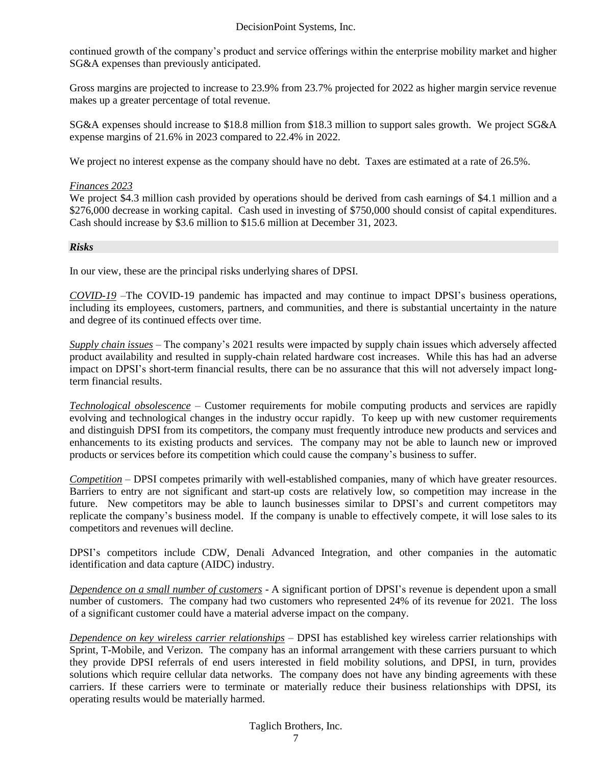continued growth of the company's product and service offerings within the enterprise mobility market and higher SG&A expenses than previously anticipated.

Gross margins are projected to increase to 23.9% from 23.7% projected for 2022 as higher margin service revenue makes up a greater percentage of total revenue.

SG&A expenses should increase to \$18.8 million from \$18.3 million to support sales growth. We project SG&A expense margins of 21.6% in 2023 compared to 22.4% in 2022.

We project no interest expense as the company should have no debt. Taxes are estimated at a rate of 26.5%.

#### *Finances 2023*

We project \$4.3 million cash provided by operations should be derived from cash earnings of \$4.1 million and a \$276,000 decrease in working capital. Cash used in investing of \$750,000 should consist of capital expenditures. Cash should increase by \$3.6 million to \$15.6 million at December 31, 2023.

#### *Risks*

In our view, these are the principal risks underlying shares of DPSI.

*COVID-19* –The COVID-19 pandemic has impacted and may continue to impact DPSI's business operations, including its employees, customers, partners, and communities, and there is substantial uncertainty in the nature and degree of its continued effects over time.

*Supply chain issues* – The company's 2021 results were impacted by supply chain issues which adversely affected product availability and resulted in supply-chain related hardware cost increases. While this has had an adverse impact on DPSI's short-term financial results, there can be no assurance that this will not adversely impact longterm financial results.

*Technological obsolescence* – Customer requirements for mobile computing products and services are rapidly evolving and technological changes in the industry occur rapidly. To keep up with new customer requirements and distinguish DPSI from its competitors, the company must frequently introduce new products and services and enhancements to its existing products and services. The company may not be able to launch new or improved products or services before its competition which could cause the company's business to suffer.

*Competition* – DPSI competes primarily with well-established companies, many of which have greater resources. Barriers to entry are not significant and start-up costs are relatively low, so competition may increase in the future. New competitors may be able to launch businesses similar to DPSI's and current competitors may replicate the company's business model. If the company is unable to effectively compete, it will lose sales to its competitors and revenues will decline.

DPSI's competitors include CDW, Denali Advanced Integration, and other companies in the automatic identification and data capture (AIDC) industry.

*Dependence on a small number of customers* - A significant portion of DPSI's revenue is dependent upon a small number of customers. The company had two customers who represented 24% of its revenue for 2021. The loss of a significant customer could have a material adverse impact on the company.

*Dependence on key wireless carrier relationships* – DPSI has established key wireless carrier relationships with Sprint, T-Mobile, and Verizon. The company has an informal arrangement with these carriers pursuant to which they provide DPSI referrals of end users interested in field mobility solutions, and DPSI, in turn, provides solutions which require cellular data networks. The company does not have any binding agreements with these carriers. If these carriers were to terminate or materially reduce their business relationships with DPSI, its operating results would be materially harmed.

#### Taglich Brothers, Inc.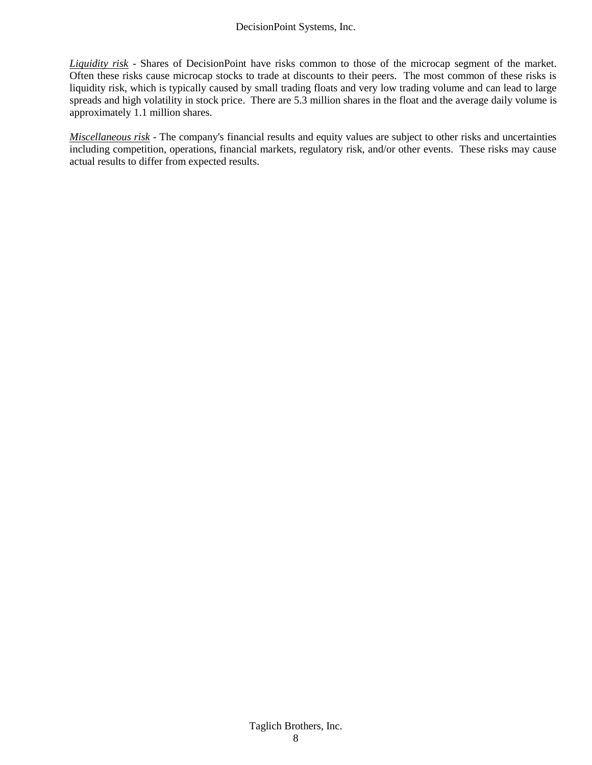*Liquidity risk* - Shares of DecisionPoint have risks common to those of the microcap segment of the market. Often these risks cause microcap stocks to trade at discounts to their peers. The most common of these risks is liquidity risk, which is typically caused by small trading floats and very low trading volume and can lead to large spreads and high volatility in stock price. There are 5.3 million shares in the float and the average daily volume is approximately 1.1 million shares.

*Miscellaneous risk* - The company's financial results and equity values are subject to other risks and uncertainties including competition, operations, financial markets, regulatory risk, and/or other events. These risks may cause actual results to differ from expected results.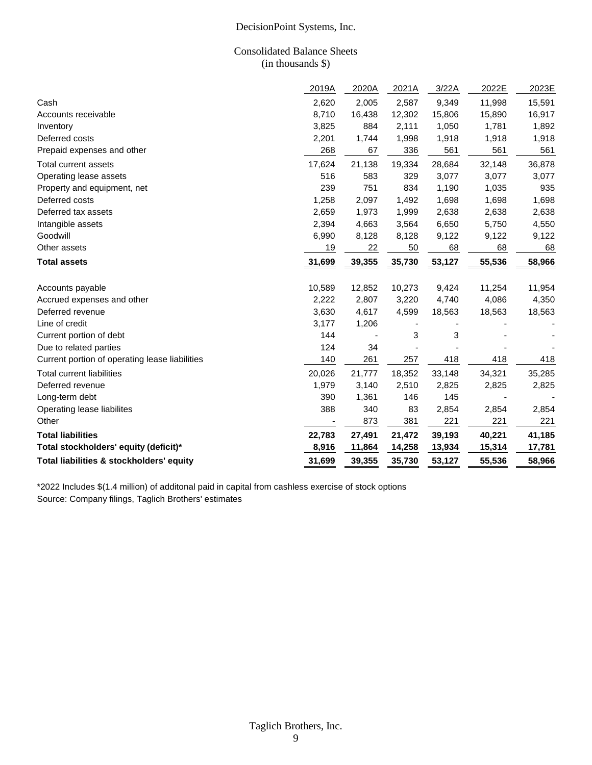#### Consolidated Balance Sheets (in thousands \$)

|                                                | 2019A  | 2020A  | 2021A  | 3/22A  | 2022E  | 2023E  |
|------------------------------------------------|--------|--------|--------|--------|--------|--------|
| Cash                                           | 2,620  | 2,005  | 2,587  | 9,349  | 11,998 | 15,591 |
| Accounts receivable                            | 8,710  | 16,438 | 12,302 | 15,806 | 15,890 | 16,917 |
| Inventory                                      | 3,825  | 884    | 2,111  | 1,050  | 1,781  | 1,892  |
| Deferred costs                                 | 2,201  | 1,744  | 1,998  | 1,918  | 1,918  | 1,918  |
| Prepaid expenses and other                     | 268    | 67     | 336    | 561    | 561    | 561    |
| Total current assets                           | 17,624 | 21,138 | 19,334 | 28,684 | 32,148 | 36,878 |
| Operating lease assets                         | 516    | 583    | 329    | 3,077  | 3,077  | 3,077  |
| Property and equipment, net                    | 239    | 751    | 834    | 1,190  | 1,035  | 935    |
| Deferred costs                                 | 1,258  | 2,097  | 1,492  | 1,698  | 1,698  | 1,698  |
| Deferred tax assets                            | 2,659  | 1,973  | 1,999  | 2,638  | 2,638  | 2,638  |
| Intangible assets                              | 2,394  | 4,663  | 3,564  | 6,650  | 5,750  | 4,550  |
| Goodwill                                       | 6,990  | 8,128  | 8,128  | 9,122  | 9,122  | 9,122  |
| Other assets                                   | 19     | 22     | 50     | 68     | 68     | 68     |
| <b>Total assets</b>                            | 31,699 | 39,355 | 35,730 | 53,127 | 55,536 | 58,966 |
| Accounts payable                               | 10,589 | 12,852 | 10,273 | 9,424  | 11,254 | 11,954 |
| Accrued expenses and other                     | 2,222  | 2,807  | 3,220  | 4,740  | 4,086  | 4,350  |
| Deferred revenue                               | 3,630  | 4,617  | 4,599  | 18,563 | 18,563 | 18,563 |
| Line of credit                                 | 3,177  | 1,206  |        |        |        |        |
| Current portion of debt                        | 144    |        | 3      | 3      |        |        |
| Due to related parties                         | 124    | 34     |        |        |        |        |
| Current portion of operating lease liabilities | 140    | 261    | 257    | 418    | 418    | 418    |
| <b>Total current liabilities</b>               | 20,026 | 21,777 | 18,352 | 33,148 | 34,321 | 35,285 |
| Deferred revenue                               | 1,979  | 3,140  | 2,510  | 2,825  | 2,825  | 2,825  |
| Long-term debt                                 | 390    | 1,361  | 146    | 145    |        |        |
| Operating lease liabilites                     | 388    | 340    | 83     | 2,854  | 2,854  | 2,854  |
| Other                                          |        | 873    | 381    | 221    | 221    | 221    |
| <b>Total liabilities</b>                       | 22,783 | 27,491 | 21,472 | 39,193 | 40,221 | 41,185 |
| Total stockholders' equity (deficit)*          | 8,916  | 11,864 | 14,258 | 13,934 | 15,314 | 17,781 |
| Total liabilities & stockholders' equity       | 31,699 | 39,355 | 35,730 | 53,127 | 55,536 | 58,966 |

\*2022 Includes \$(1.4 million) of additonal paid in capital from cashless exercise of stock options Source: Company filings, Taglich Brothers' estimates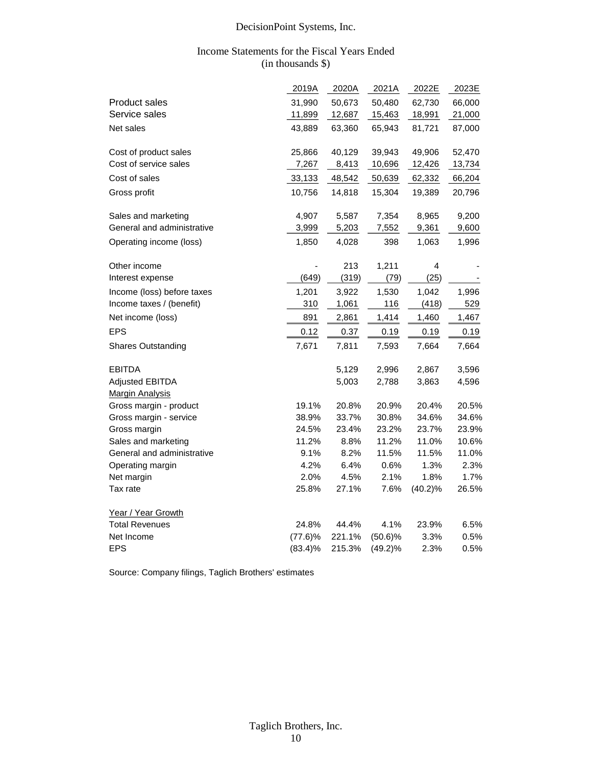#### Income Statements for the Fiscal Years Ended (in thousands \$)

|                            | 2019A      | 2020A  | 2021A      | 2022E      | 2023E  |
|----------------------------|------------|--------|------------|------------|--------|
| Product sales              | 31,990     | 50,673 | 50,480     | 62,730     | 66,000 |
| Service sales              | 11,899     | 12,687 | 15,463     | 18,991     | 21,000 |
|                            |            |        |            |            |        |
| Net sales                  | 43,889     | 63,360 | 65,943     | 81,721     | 87,000 |
| Cost of product sales      | 25,866     | 40,129 | 39,943     | 49,906     | 52,470 |
| Cost of service sales      | 7,267      | 8,413  | 10,696     | 12,426     | 13,734 |
| Cost of sales              | 33,133     | 48,542 | 50,639     | 62,332     | 66,204 |
| Gross profit               | 10,756     | 14,818 | 15,304     | 19,389     | 20,796 |
| Sales and marketing        | 4,907      | 5,587  | 7,354      | 8,965      | 9,200  |
| General and administrative | 3,999      | 5,203  | 7,552      | 9,361      | 9,600  |
| Operating income (loss)    | 1,850      | 4,028  | 398        | 1,063      | 1,996  |
| Other income               |            | 213    | 1,211      | 4          |        |
| Interest expense           | (649)      | (319)  | (79)       | (25)       |        |
| Income (loss) before taxes | 1,201      | 3,922  | 1,530      | 1,042      | 1,996  |
| Income taxes / (benefit)   | 310        | 1,061  | 116        | (418)      | 529    |
| Net income (loss)          | 891        | 2,861  | 1,414      | 1,460      | 1,467  |
| <b>EPS</b>                 | 0.12       | 0.37   | 0.19       | 0.19       | 0.19   |
| <b>Shares Outstanding</b>  | 7,671      | 7,811  | 7,593      | 7,664      | 7,664  |
| <b>EBITDA</b>              |            | 5,129  | 2,996      | 2,867      | 3,596  |
| Adjusted EBITDA            |            | 5,003  | 2,788      | 3,863      | 4,596  |
| <b>Margin Analysis</b>     |            |        |            |            |        |
| Gross margin - product     | 19.1%      | 20.8%  | 20.9%      | 20.4%      | 20.5%  |
| Gross margin - service     | 38.9%      | 33.7%  | 30.8%      | 34.6%      | 34.6%  |
| Gross margin               | 24.5%      | 23.4%  | 23.2%      | 23.7%      | 23.9%  |
| Sales and marketing        | 11.2%      | 8.8%   | 11.2%      | 11.0%      | 10.6%  |
| General and administrative | 9.1%       | 8.2%   | 11.5%      | 11.5%      | 11.0%  |
| Operating margin           | 4.2%       | 6.4%   | 0.6%       | 1.3%       | 2.3%   |
| Net margin                 | 2.0%       | 4.5%   | 2.1%       | 1.8%       | 1.7%   |
| Tax rate                   | 25.8%      | 27.1%  | 7.6%       | $(40.2)\%$ | 26.5%  |
| Year / Year Growth         |            |        |            |            |        |
| <b>Total Revenues</b>      | 24.8%      | 44.4%  | 4.1%       | 23.9%      | 6.5%   |
| Net Income                 | (77.6)%    | 221.1% | $(50.6)\%$ | 3.3%       | 0.5%   |
| <b>EPS</b>                 | $(83.4)\%$ | 215.3% | $(49.2)\%$ | 2.3%       | 0.5%   |

Source: Company filings, Taglich Brothers' estimates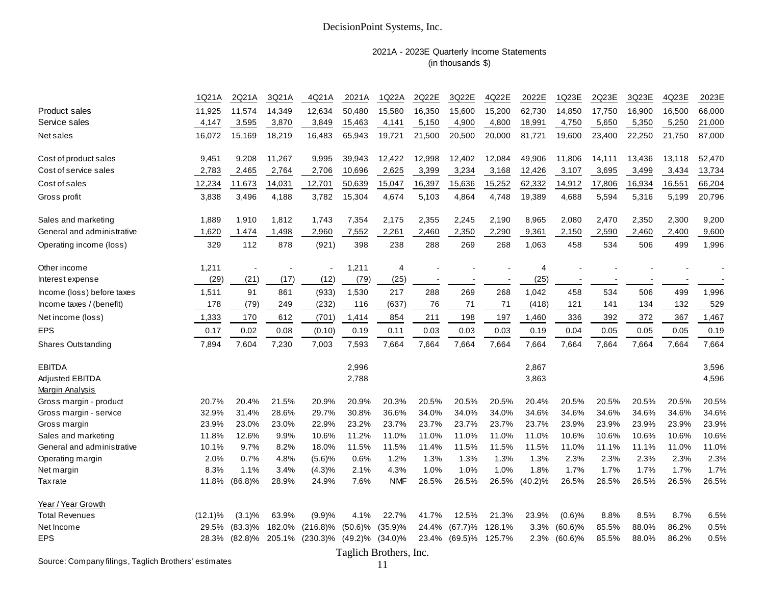#### 2021A - 2023E Quarterly Income Statements (in thousands \$)

|                            | 1Q21A                                  | 2Q21A      | 3Q21A  | 4Q21A       | 2021A      | 1Q22A          | 2Q22E  | 3Q22E      | 4Q22E  | 2022E   | 1Q23E                    | 2Q23E  | 3Q23E  | 4Q23E  | 2023E  |
|----------------------------|----------------------------------------|------------|--------|-------------|------------|----------------|--------|------------|--------|---------|--------------------------|--------|--------|--------|--------|
| Product sales              | 11.925                                 | 11,574     | 14,349 | 12.634      | 50.480     | 15,580         | 16,350 | 15,600     | 15,200 | 62,730  | 14,850                   | 17.750 | 16,900 | 16,500 | 66,000 |
| Service sales              | 4,147                                  | 3,595      | 3,870  | 3,849       | 15,463     | 4,141          | 5,150  | 4,900      | 4,800  | 18,991  | 4,750                    | 5,650  | 5,350  | 5,250  | 21,000 |
| Net sales                  | 16,072                                 | 15,169     | 18,219 | 16,483      | 65,943     | 19,721         | 21,500 | 20,500     | 20,000 | 81,721  | 19,600                   | 23,400 | 22,250 | 21,750 | 87,000 |
| Cost of product sales      | 9,451                                  | 9,208      | 11,267 | 9,995       | 39,943     | 12,422         | 12,998 | 12,402     | 12,084 | 49,906  | 11,806                   | 14,111 | 13,436 | 13,118 | 52,470 |
| Cost of service sales      | 2,783                                  | 2,465      | 2,764  | 2,706       | 10,696     | 2,625          | 3,399  | 3,234      | 3,168  | 12,426  | 3,107                    | 3,695  | 3,499  | 3,434  | 13,734 |
| Cost of sales              | 12,234                                 | 11,673     | 14,031 | 12,701      | 50,639     | 15,047         | 16,397 | 15,636     | 15,252 | 62,332  | 14,912                   | 17,806 | 16,934 | 16,551 | 66,204 |
| Gross profit               | 3,838                                  | 3,496      | 4,188  | 3,782       | 15,304     | 4,674          | 5,103  | 4,864      | 4,748  | 19,389  | 4,688                    | 5,594  | 5,316  | 5,199  | 20,796 |
| Sales and marketing        | 1,889                                  | 1,910      | 1,812  | 1,743       | 7,354      | 2,175          | 2,355  | 2,245      | 2,190  | 8,965   | 2,080                    | 2,470  | 2,350  | 2,300  | 9,200  |
| General and administrative | 1,620                                  | 1,474      | 1,498  | 2,960       | 7,552      | 2,261          | 2,460  | 2,350      | 2,290  | 9,361   | 2,150                    | 2,590  | 2,460  | 2,400  | 9,600  |
| Operating income (loss)    | 329                                    | 112        | 878    | (921)       | 398        | 238            | 288    | 269        | 268    | 1,063   | 458                      | 534    | 506    | 499    | 1,996  |
| Other income               | 1,211                                  |            |        |             | 1,211      | $\overline{4}$ |        |            |        | 4       |                          |        |        |        |        |
| Interest expense           | (29)                                   | (21)       | (17)   | (12)        | (79)       | (25)           |        |            |        | (25)    | $\overline{\phantom{a}}$ |        |        |        |        |
| Income (loss) before taxes | 1,511                                  | 91         | 861    | (933)       | 1,530      | 217            | 288    | 269        | 268    | 1,042   | 458                      | 534    | 506    | 499    | 1,996  |
| Income taxes / (benefit)   | 178                                    | (79)       | 249    | (232)       | 116        | (637)          | 76     | 71         | 71     | (418)   | 121                      | 141    | 134    | 132    | 529    |
| Net income (loss)          | 1,333                                  | 170        | 612    | (701)       | 1,414      | 854            | 211    | 198        | 197    | 1,460   | 336                      | 392    | 372    | 367    | 1,467  |
| <b>EPS</b>                 | 0.17                                   | 0.02       | 0.08   | (0.10)      | 0.19       | 0.11           | 0.03   | 0.03       | 0.03   | 0.19    | 0.04                     | 0.05   | 0.05   | 0.05   | 0.19   |
| Shares Outstanding         | 7,894                                  | 7,604      | 7,230  | 7,003       | 7,593      | 7,664          | 7,664  | 7,664      | 7,664  | 7,664   | 7,664                    | 7,664  | 7,664  | 7,664  | 7,664  |
| <b>EBITDA</b>              |                                        |            |        |             | 2,996      |                |        |            |        | 2,867   |                          |        |        |        | 3,596  |
| Adjusted EBITDA            |                                        |            |        |             | 2,788      |                |        |            |        | 3,863   |                          |        |        |        | 4,596  |
| Margin Analysis            |                                        |            |        |             |            |                |        |            |        |         |                          |        |        |        |        |
| Gross margin - product     | 20.7%                                  | 20.4%      | 21.5%  | 20.9%       | 20.9%      | 20.3%          | 20.5%  | 20.5%      | 20.5%  | 20.4%   | 20.5%                    | 20.5%  | 20.5%  | 20.5%  | 20.5%  |
| Gross margin - service     | 32.9%                                  | 31.4%      | 28.6%  | 29.7%       | 30.8%      | 36.6%          | 34.0%  | 34.0%      | 34.0%  | 34.6%   | 34.6%                    | 34.6%  | 34.6%  | 34.6%  | 34.6%  |
| Gross margin               | 23.9%                                  | 23.0%      | 23.0%  | 22.9%       | 23.2%      | 23.7%          | 23.7%  | 23.7%      | 23.7%  | 23.7%   | 23.9%                    | 23.9%  | 23.9%  | 23.9%  | 23.9%  |
| Sales and marketing        | 11.8%                                  | 12.6%      | 9.9%   | 10.6%       | 11.2%      | 11.0%          | 11.0%  | 11.0%      | 11.0%  | 11.0%   | 10.6%                    | 10.6%  | 10.6%  | 10.6%  | 10.6%  |
| General and administrative | 10.1%                                  | 9.7%       | 8.2%   | 18.0%       | 11.5%      | 11.5%          | 11.4%  | 11.5%      | 11.5%  | 11.5%   | 11.0%                    | 11.1%  | 11.1%  | 11.0%  | 11.0%  |
| Operating margin           | 2.0%                                   | 0.7%       | 4.8%   | (5.6)%      | 0.6%       | 1.2%           | 1.3%   | 1.3%       | 1.3%   | 1.3%    | 2.3%                     | 2.3%   | 2.3%   | 2.3%   | 2.3%   |
| Net margin                 | 8.3%                                   | 1.1%       | 3.4%   | (4.3)%      | 2.1%       | 4.3%           | 1.0%   | 1.0%       | 1.0%   | 1.8%    | 1.7%                     | 1.7%   | 1.7%   | 1.7%   | 1.7%   |
| <b>Tax</b> rate            | 11.8%                                  | $(86.8)\%$ | 28.9%  | 24.9%       | 7.6%       | <b>NMF</b>     | 26.5%  | 26.5%      | 26.5%  | (40.2)% | 26.5%                    | 26.5%  | 26.5%  | 26.5%  | 26.5%  |
| Year / Year Growth         |                                        |            |        |             |            |                |        |            |        |         |                          |        |        |        |        |
| <b>Total Revenues</b>      | $(12.1)\%$                             | (3.1)%     | 63.9%  | (9.9)%      | 4.1%       | 22.7%          | 41.7%  | 12.5%      | 21.3%  | 23.9%   | $(0.6)$ %                | 8.8%   | 8.5%   | 8.7%   | 6.5%   |
| Net Income                 | 29.5%                                  | $(83.3)\%$ | 182.0% | $(216.8)\%$ | $(50.6)\%$ | (35.9)%        | 24.4%  | $(67.7)\%$ | 128.1% | 3.3%    | $(60.6)\%$               | 85.5%  | 88.0%  | 86.2%  | 0.5%   |
| <b>EPS</b>                 | 28.3%                                  | $(82.8)\%$ | 205.1% | $(230.3)\%$ | $(49.2)\%$ | $(34.0)\%$     | 23.4%  | $(69.5)\%$ | 125.7% | 2.3%    | $(60.6)\%$               | 85.5%  | 88.0%  | 86.2%  | 0.5%   |
|                            | $\Gamma_{\alpha}$ all als Dundhame Les |            |        |             |            |                |        |            |        |         |                          |        |        |        |        |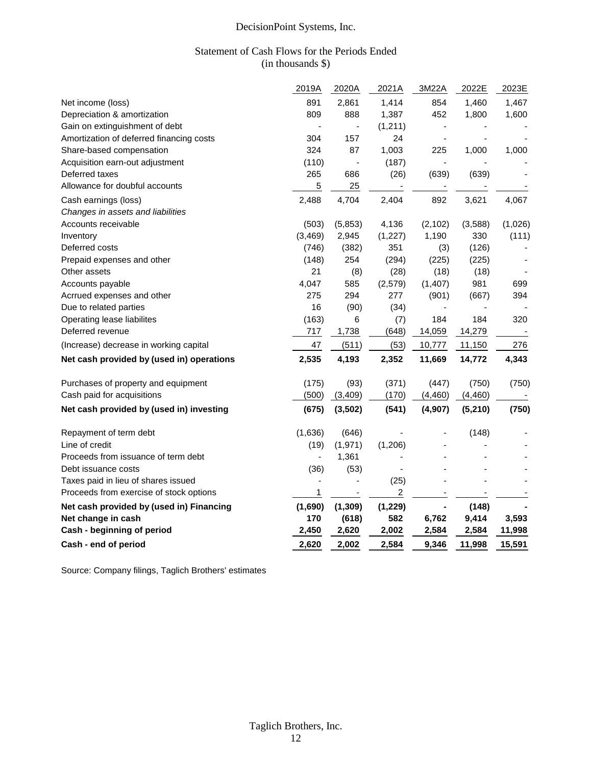#### Statement of Cash Flows for the Periods Ended (in thousands \$)

|                                           | 2019A                        | 2020A                        | 2021A    | 3M22A                    | 2022E    | 2023E   |
|-------------------------------------------|------------------------------|------------------------------|----------|--------------------------|----------|---------|
| Net income (loss)                         | 891                          | 2,861                        | 1,414    | 854                      | 1,460    | 1,467   |
| Depreciation & amortization               | 809                          | 888                          | 1,387    | 452                      | 1,800    | 1,600   |
| Gain on extinguishment of debt            | $\qquad \qquad \blacksquare$ |                              | (1, 211) |                          |          |         |
| Amortization of deferred financing costs  | 304                          | 157                          | 24       | ÷,                       |          |         |
| Share-based compensation                  | 324                          | 87                           | 1,003    | 225                      | 1,000    | 1,000   |
| Acquisition earn-out adjustment           | (110)                        | $\blacksquare$               | (187)    | $\overline{\phantom{a}}$ |          |         |
| Deferred taxes                            | 265                          | 686                          | (26)     | (639)                    | (639)    |         |
| Allowance for doubful accounts            | 5                            | 25                           |          |                          |          |         |
| Cash earnings (loss)                      | 2,488                        | 4,704                        | 2,404    | 892                      | 3,621    | 4,067   |
| Changes in assets and liabilities         |                              |                              |          |                          |          |         |
| Accounts receivable                       | (503)                        | (5,853)                      | 4,136    | (2, 102)                 | (3,588)  | (1,026) |
| Inventory                                 | (3, 469)                     | 2,945                        | (1, 227) | 1,190                    | 330      | (111)   |
| Deferred costs                            | (746)                        | (382)                        | 351      | (3)                      | (126)    |         |
| Prepaid expenses and other                | (148)                        | 254                          | (294)    | (225)                    | (225)    |         |
| Other assets                              | 21                           | (8)                          | (28)     | (18)                     | (18)     |         |
| Accounts payable                          | 4,047                        | 585                          | (2, 579) | (1, 407)                 | 981      | 699     |
| Acrrued expenses and other                | 275                          | 294                          | 277      | (901)                    | (667)    | 394     |
| Due to related parties                    | 16                           | (90)                         | (34)     | $\overline{\phantom{a}}$ |          |         |
| Operating lease liabilites                | (163)                        | 6                            | (7)      | 184                      | 184      | 320     |
| Deferred revenue                          | 717                          | 1,738                        | (648)    | 14,059                   | 14,279   |         |
| (Increase) decrease in working capital    | 47                           | (511)                        | (53)     | 10,777                   | 11,150   | 276     |
| Net cash provided by (used in) operations | 2,535                        | 4,193                        | 2,352    | 11,669                   | 14,772   | 4,343   |
| Purchases of property and equipment       | (175)                        | (93)                         | (371)    | (447)                    | (750)    | (750)   |
| Cash paid for acquisitions                | (500)                        | (3,409)                      | (170)    | (4, 460)                 | (4, 460) |         |
| Net cash provided by (used in) investing  | (675)                        | (3,502)                      | (541)    | (4,907)                  | (5,210)  | (750)   |
| Repayment of term debt                    | (1,636)                      | (646)                        |          |                          | (148)    |         |
| Line of credit                            | (19)                         | (1,971)                      | (1,206)  |                          |          |         |
| Proceeds from issuance of term debt       |                              | 1,361                        |          |                          |          |         |
| Debt issuance costs                       | (36)                         | (53)                         |          |                          |          |         |
| Taxes paid in lieu of shares issued       | $\overline{\phantom{a}}$     |                              | (25)     |                          |          |         |
| Proceeds from exercise of stock options   | 1                            | $\qquad \qquad \blacksquare$ | 2        |                          |          |         |
| Net cash provided by (used in) Financing  | (1,690)                      | (1, 309)                     | (1, 229) |                          | (148)    |         |
| Net change in cash                        | 170                          | (618)                        | 582      | 6,762                    | 9,414    | 3,593   |
| Cash - beginning of period                | 2,450                        | 2,620                        | 2,002    | 2,584                    | 2,584    | 11,998  |
| Cash - end of period                      | 2,620                        | 2,002                        | 2,584    | 9,346                    | 11,998   | 15,591  |

Source: Company filings, Taglich Brothers' estimates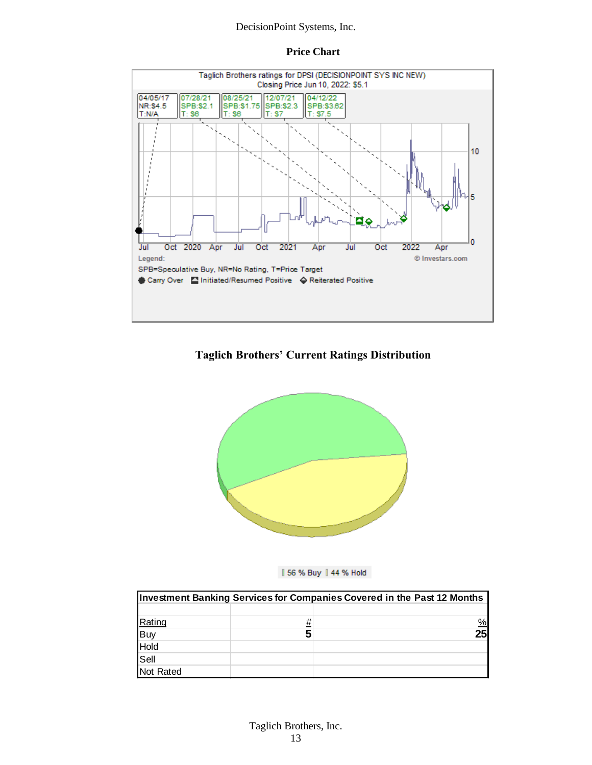#### **Price Chart**



#### **Taglich Brothers' Current Ratings Distribution**





|                               |   | <b>Investment Banking Services for Companies Covered in the Past 12 Months</b> |
|-------------------------------|---|--------------------------------------------------------------------------------|
|                               |   |                                                                                |
|                               | # | $\frac{0}{2}$                                                                  |
|                               |   | 25                                                                             |
|                               |   |                                                                                |
| Rating<br>Buy<br>Hold<br>Sell |   |                                                                                |
| Not Rated                     |   |                                                                                |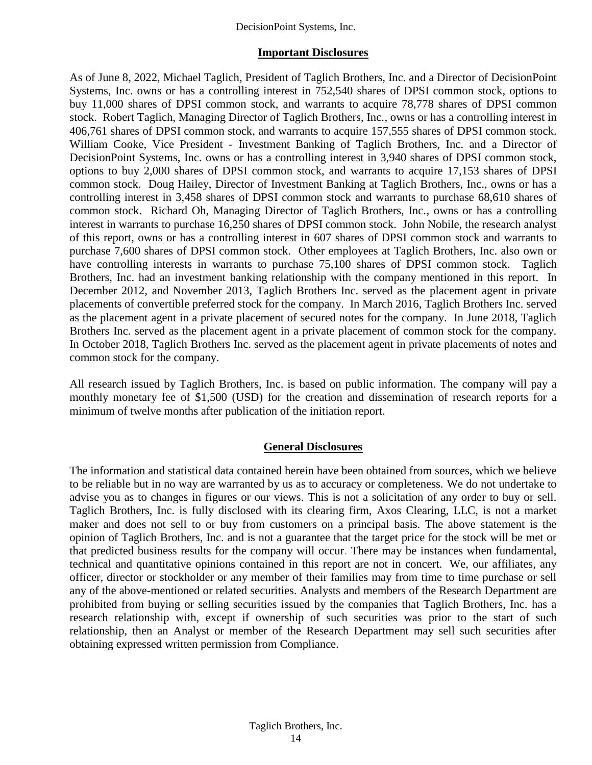#### **Important Disclosures**

As of June 8, 2022, Michael Taglich, President of Taglich Brothers, Inc. and a Director of DecisionPoint Systems, Inc. owns or has a controlling interest in 752,540 shares of DPSI common stock, options to buy 11,000 shares of DPSI common stock, and warrants to acquire 78,778 shares of DPSI common stock. Robert Taglich, Managing Director of Taglich Brothers, Inc., owns or has a controlling interest in 406,761 shares of DPSI common stock, and warrants to acquire 157,555 shares of DPSI common stock. William Cooke, Vice President - Investment Banking of Taglich Brothers, Inc. and a Director of DecisionPoint Systems, Inc. owns or has a controlling interest in 3,940 shares of DPSI common stock, options to buy 2,000 shares of DPSI common stock, and warrants to acquire 17,153 shares of DPSI common stock. Doug Hailey, Director of Investment Banking at Taglich Brothers, Inc., owns or has a controlling interest in 3,458 shares of DPSI common stock and warrants to purchase 68,610 shares of common stock. Richard Oh, Managing Director of Taglich Brothers, Inc., owns or has a controlling interest in warrants to purchase 16,250 shares of DPSI common stock. John Nobile, the research analyst of this report, owns or has a controlling interest in 607 shares of DPSI common stock and warrants to purchase 7,600 shares of DPSI common stock. Other employees at Taglich Brothers, Inc. also own or have controlling interests in warrants to purchase 75,100 shares of DPSI common stock. Taglich Brothers, Inc. had an investment banking relationship with the company mentioned in this report. In December 2012, and November 2013, Taglich Brothers Inc. served as the placement agent in private placements of convertible preferred stock for the company. In March 2016, Taglich Brothers Inc. served as the placement agent in a private placement of secured notes for the company. In June 2018, Taglich Brothers Inc. served as the placement agent in a private placement of common stock for the company. In October 2018, Taglich Brothers Inc. served as the placement agent in private placements of notes and common stock for the company.

All research issued by Taglich Brothers, Inc. is based on public information. The company will pay a monthly monetary fee of \$1,500 (USD) for the creation and dissemination of research reports for a minimum of twelve months after publication of the initiation report.

#### **General Disclosures**

The information and statistical data contained herein have been obtained from sources, which we believe to be reliable but in no way are warranted by us as to accuracy or completeness. We do not undertake to advise you as to changes in figures or our views. This is not a solicitation of any order to buy or sell. Taglich Brothers, Inc. is fully disclosed with its clearing firm, Axos Clearing, LLC, is not a market maker and does not sell to or buy from customers on a principal basis. The above statement is the opinion of Taglich Brothers, Inc. and is not a guarantee that the target price for the stock will be met or that predicted business results for the company will occur. There may be instances when fundamental, technical and quantitative opinions contained in this report are not in concert. We, our affiliates, any officer, director or stockholder or any member of their families may from time to time purchase or sell any of the above-mentioned or related securities. Analysts and members of the Research Department are prohibited from buying or selling securities issued by the companies that Taglich Brothers, Inc. has a research relationship with, except if ownership of such securities was prior to the start of such relationship, then an Analyst or member of the Research Department may sell such securities after obtaining expressed written permission from Compliance.